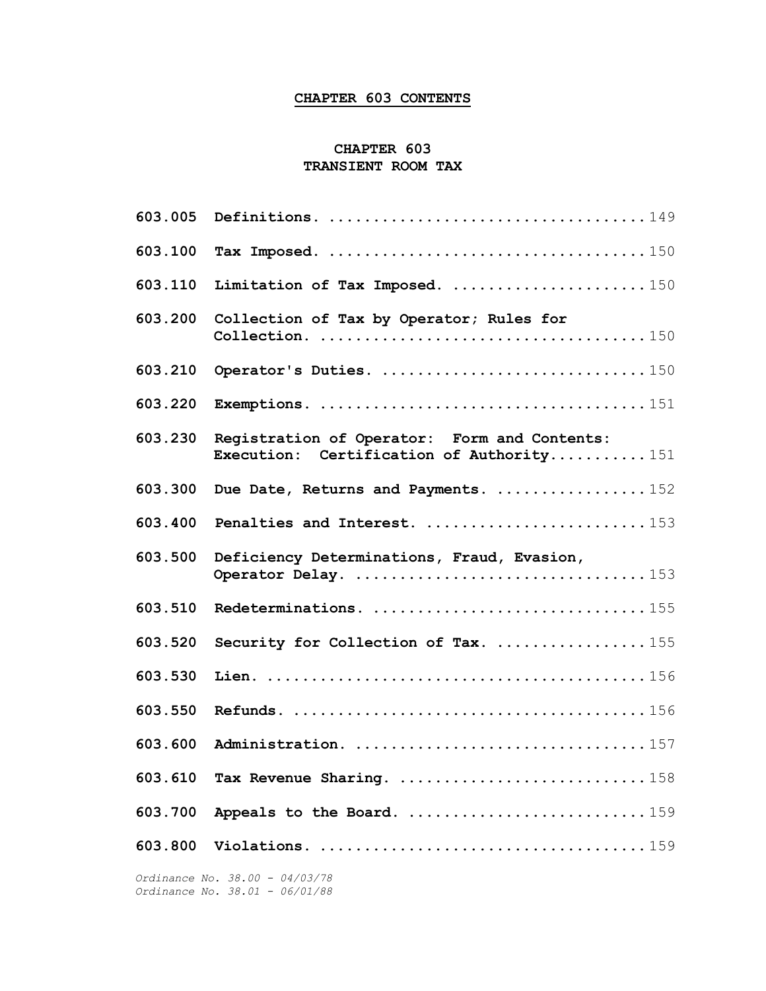# CHAPTER 603 CONTENTS

### CHAPTER 603 TRANSIENT ROOM TAX

| 603.005 |                                                                                           |
|---------|-------------------------------------------------------------------------------------------|
| 603.100 |                                                                                           |
| 603.110 | Limitation of Tax Imposed. 150                                                            |
| 603.200 | Collection of Tax by Operator; Rules for                                                  |
| 603.210 |                                                                                           |
| 603.220 |                                                                                           |
| 603.230 | Registration of Operator: Form and Contents:<br>Execution: Certification of Authority151  |
| 603.300 | Due Date, Returns and Payments. 152                                                       |
| 603.400 | Penalties and Interest. 153                                                               |
| 603.500 | Deficiency Determinations, Fraud, Evasion,                                                |
| 603.510 |                                                                                           |
| 603.520 | Security for Collection of Tax. 155                                                       |
| 603.530 |                                                                                           |
| 603.550 |                                                                                           |
| 603.600 |                                                                                           |
| 603.610 | Tax Revenue Sharing. $\ldots \ldots \ldots \ldots \ldots \ldots \ldots \ldots \ldots 158$ |
| 603.700 |                                                                                           |
| 603.800 |                                                                                           |
|         |                                                                                           |

 Ordinance No. 38.00 - 04/03/78 Ordinance No. 38.01 - 06/01/88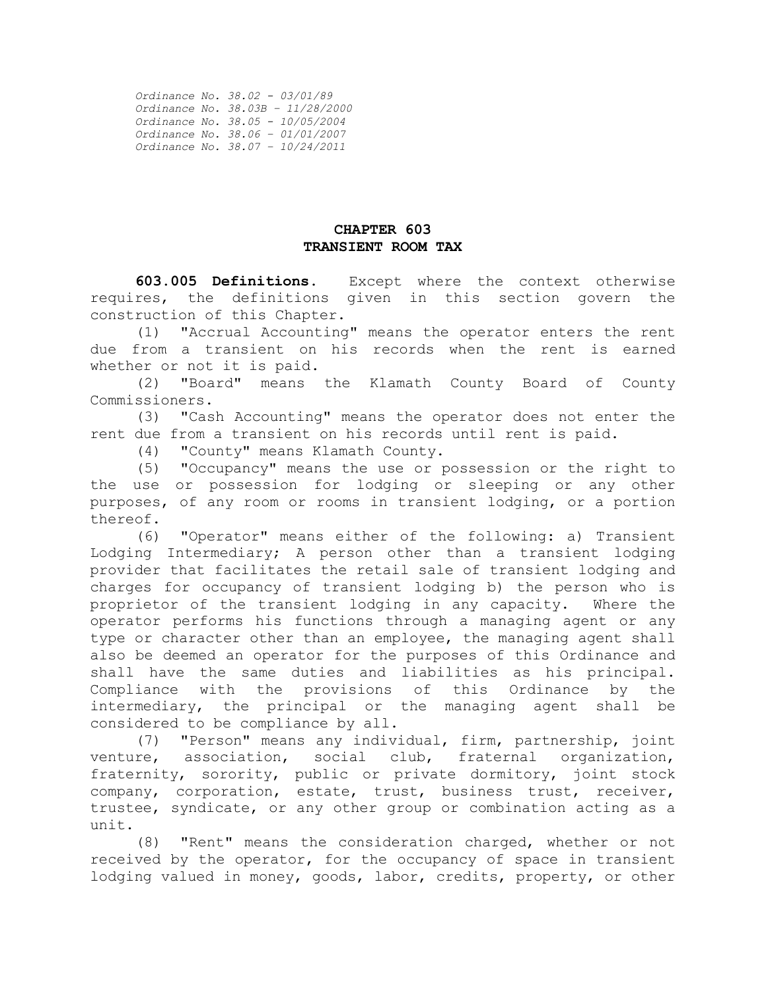| Ordinance No. 38.02 - 03/01/89    |
|-----------------------------------|
| Ordinance No. 38.03B - 11/28/2000 |
| Ordinance No. 38.05 - 10/05/2004  |
| Ordinance No. 38.06 - 01/01/2007  |
| Ordinance No. 38.07 - 10/24/2011  |

#### CHAPTER 603 TRANSIENT ROOM TAX

603.005 Definitions. Except where the context otherwise requires, the definitions given in this section govern the construction of this Chapter.

 (1) "Accrual Accounting" means the operator enters the rent due from a transient on his records when the rent is earned whether or not it is paid.

 (2) "Board" means the Klamath County Board of County Commissioners.

 (3) "Cash Accounting" means the operator does not enter the rent due from a transient on his records until rent is paid.

(4) "County" means Klamath County.

 (5) "Occupancy" means the use or possession or the right to the use or possession for lodging or sleeping or any other purposes, of any room or rooms in transient lodging, or a portion thereof.

 (6) "Operator" means either of the following: a) Transient Lodging Intermediary; A person other than a transient lodging provider that facilitates the retail sale of transient lodging and charges for occupancy of transient lodging b) the person who is proprietor of the transient lodging in any capacity. Where the operator performs his functions through a managing agent or any type or character other than an employee, the managing agent shall also be deemed an operator for the purposes of this Ordinance and shall have the same duties and liabilities as his principal. Compliance with the provisions of this Ordinance by the intermediary, the principal or the managing agent shall be considered to be compliance by all.

 (7) "Person" means any individual, firm, partnership, joint venture, association, social club, fraternal organization, fraternity, sorority, public or private dormitory, joint stock company, corporation, estate, trust, business trust, receiver, trustee, syndicate, or any other group or combination acting as a unit.

 (8) "Rent" means the consideration charged, whether or not received by the operator, for the occupancy of space in transient lodging valued in money, goods, labor, credits, property, or other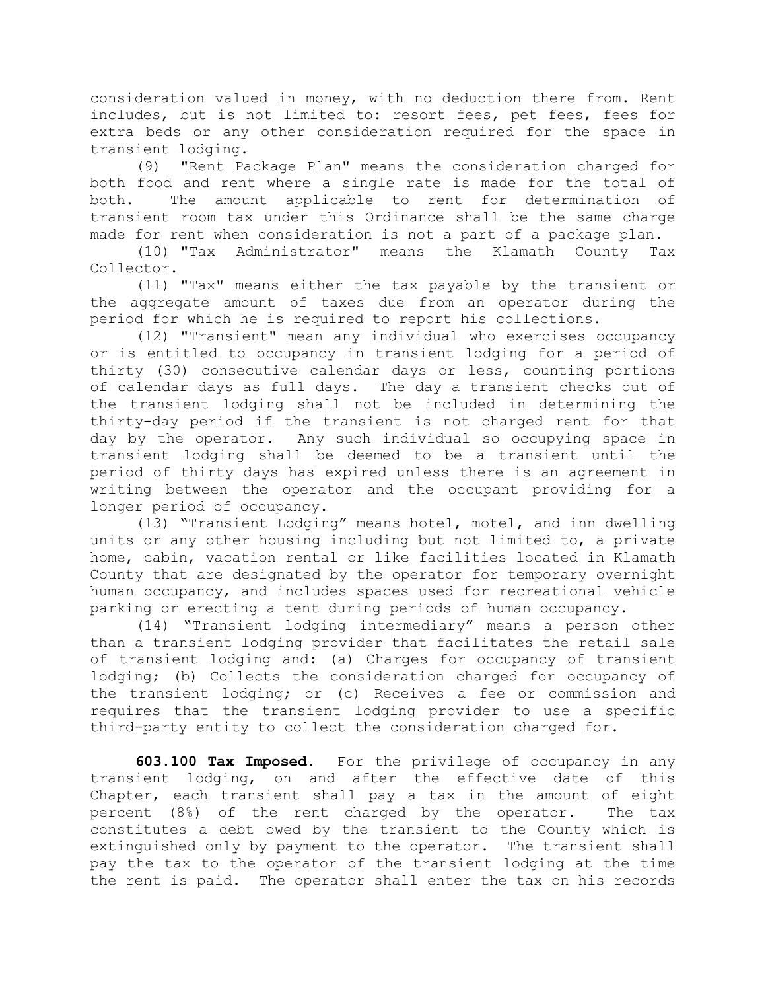consideration valued in money, with no deduction there from. Rent includes, but is not limited to: resort fees, pet fees, fees for extra beds or any other consideration required for the space in transient lodging.

 (9) "Rent Package Plan" means the consideration charged for both food and rent where a single rate is made for the total of both. The amount applicable to rent for determination of transient room tax under this Ordinance shall be the same charge made for rent when consideration is not a part of a package plan.

 (10) "Tax Administrator" means the Klamath County Tax Collector.

 (11) "Tax" means either the tax payable by the transient or the aggregate amount of taxes due from an operator during the period for which he is required to report his collections.

 (12) "Transient" mean any individual who exercises occupancy or is entitled to occupancy in transient lodging for a period of thirty (30) consecutive calendar days or less, counting portions of calendar days as full days. The day a transient checks out of the transient lodging shall not be included in determining the thirty-day period if the transient is not charged rent for that day by the operator. Any such individual so occupying space in transient lodging shall be deemed to be a transient until the period of thirty days has expired unless there is an agreement in writing between the operator and the occupant providing for a longer period of occupancy.

 (13) "Transient Lodging" means hotel, motel, and inn dwelling units or any other housing including but not limited to, a private home, cabin, vacation rental or like facilities located in Klamath County that are designated by the operator for temporary overnight human occupancy, and includes spaces used for recreational vehicle parking or erecting a tent during periods of human occupancy.

 (14) "Transient lodging intermediary" means a person other than a transient lodging provider that facilitates the retail sale of transient lodging and: (a) Charges for occupancy of transient lodging; (b) Collects the consideration charged for occupancy of the transient lodging; or (c) Receives a fee or commission and requires that the transient lodging provider to use a specific third-party entity to collect the consideration charged for.

603.100 Tax Imposed. For the privilege of occupancy in any transient lodging, on and after the effective date of this Chapter, each transient shall pay a tax in the amount of eight percent (8%) of the rent charged by the operator. The tax constitutes a debt owed by the transient to the County which is extinguished only by payment to the operator. The transient shall pay the tax to the operator of the transient lodging at the time the rent is paid. The operator shall enter the tax on his records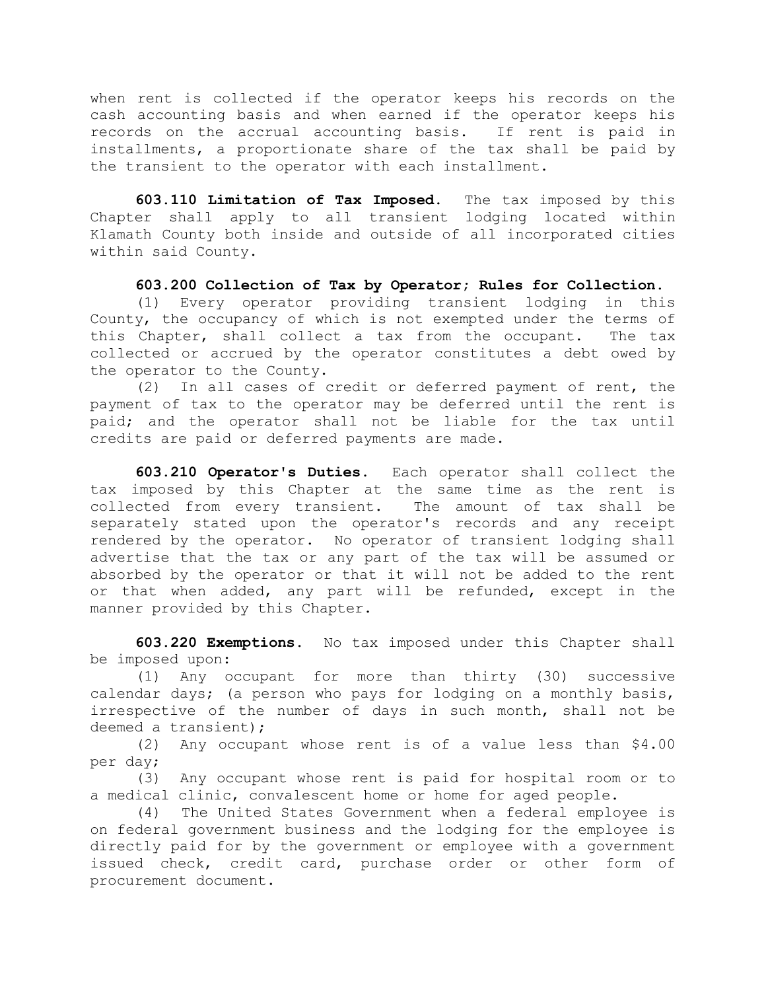when rent is collected if the operator keeps his records on the cash accounting basis and when earned if the operator keeps his records on the accrual accounting basis. If rent is paid in installments, a proportionate share of the tax shall be paid by the transient to the operator with each installment.

603.110 Limitation of Tax Imposed. The tax imposed by this Chapter shall apply to all transient lodging located within Klamath County both inside and outside of all incorporated cities within said County.

#### 603.200 Collection of Tax by Operator; Rules for Collection.

(1) Every operator providing transient lodging in this County, the occupancy of which is not exempted under the terms of this Chapter, shall collect a tax from the occupant. The tax collected or accrued by the operator constitutes a debt owed by the operator to the County.

 (2) In all cases of credit or deferred payment of rent, the payment of tax to the operator may be deferred until the rent is paid; and the operator shall not be liable for the tax until credits are paid or deferred payments are made.

603.210 Operator's Duties. Each operator shall collect the tax imposed by this Chapter at the same time as the rent is collected from every transient. The amount of tax shall be separately stated upon the operator's records and any receipt rendered by the operator. No operator of transient lodging shall advertise that the tax or any part of the tax will be assumed or absorbed by the operator or that it will not be added to the rent or that when added, any part will be refunded, except in the manner provided by this Chapter.

603.220 Exemptions. No tax imposed under this Chapter shall be imposed upon:

 (1) Any occupant for more than thirty (30) successive calendar days; (a person who pays for lodging on a monthly basis, irrespective of the number of days in such month, shall not be deemed a transient);

 (2) Any occupant whose rent is of a value less than \$4.00 per day;

 (3) Any occupant whose rent is paid for hospital room or to a medical clinic, convalescent home or home for aged people.

(4) The United States Government when a federal employee is on federal government business and the lodging for the employee is directly paid for by the government or employee with a government issued check, credit card, purchase order or other form of procurement document.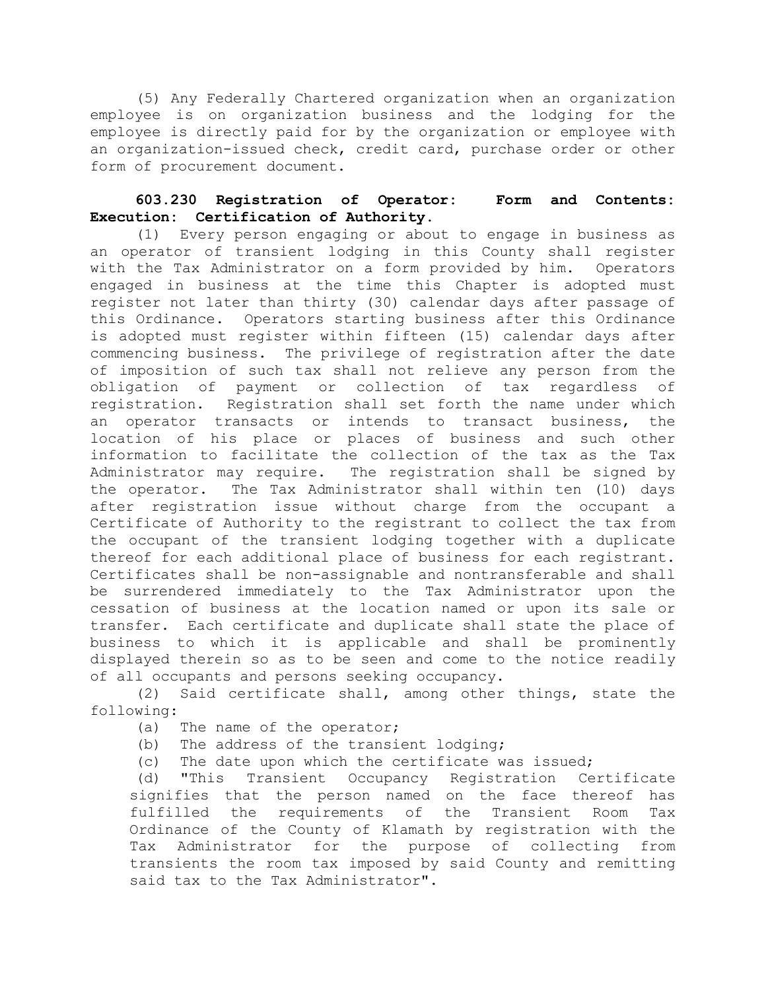(5) Any Federally Chartered organization when an organization employee is on organization business and the lodging for the employee is directly paid for by the organization or employee with an organization-issued check, credit card, purchase order or other form of procurement document.

## 603.230 Registration of Operator: Form and Contents: Execution: Certification of Authority.

 (1) Every person engaging or about to engage in business as an operator of transient lodging in this County shall register with the Tax Administrator on a form provided by him. Operators engaged in business at the time this Chapter is adopted must register not later than thirty (30) calendar days after passage of this Ordinance. Operators starting business after this Ordinance is adopted must register within fifteen (15) calendar days after commencing business. The privilege of registration after the date of imposition of such tax shall not relieve any person from the obligation of payment or collection of tax regardless of registration. Registration shall set forth the name under which an operator transacts or intends to transact business, the location of his place or places of business and such other information to facilitate the collection of the tax as the Tax Administrator may require. The registration shall be signed by the operator. The Tax Administrator shall within ten (10) days after registration issue without charge from the occupant a Certificate of Authority to the registrant to collect the tax from the occupant of the transient lodging together with a duplicate thereof for each additional place of business for each registrant. Certificates shall be non-assignable and nontransferable and shall be surrendered immediately to the Tax Administrator upon the cessation of business at the location named or upon its sale or transfer. Each certificate and duplicate shall state the place of business to which it is applicable and shall be prominently displayed therein so as to be seen and come to the notice readily of all occupants and persons seeking occupancy.

 (2) Said certificate shall, among other things, state the following:

- (a) The name of the operator;
- (b) The address of the transient lodging;
- (c) The date upon which the certificate was issued;

 (d) "This Transient Occupancy Registration Certificate signifies that the person named on the face thereof has fulfilled the requirements of the Transient Room Tax Ordinance of the County of Klamath by registration with the Tax Administrator for the purpose of collecting from transients the room tax imposed by said County and remitting said tax to the Tax Administrator".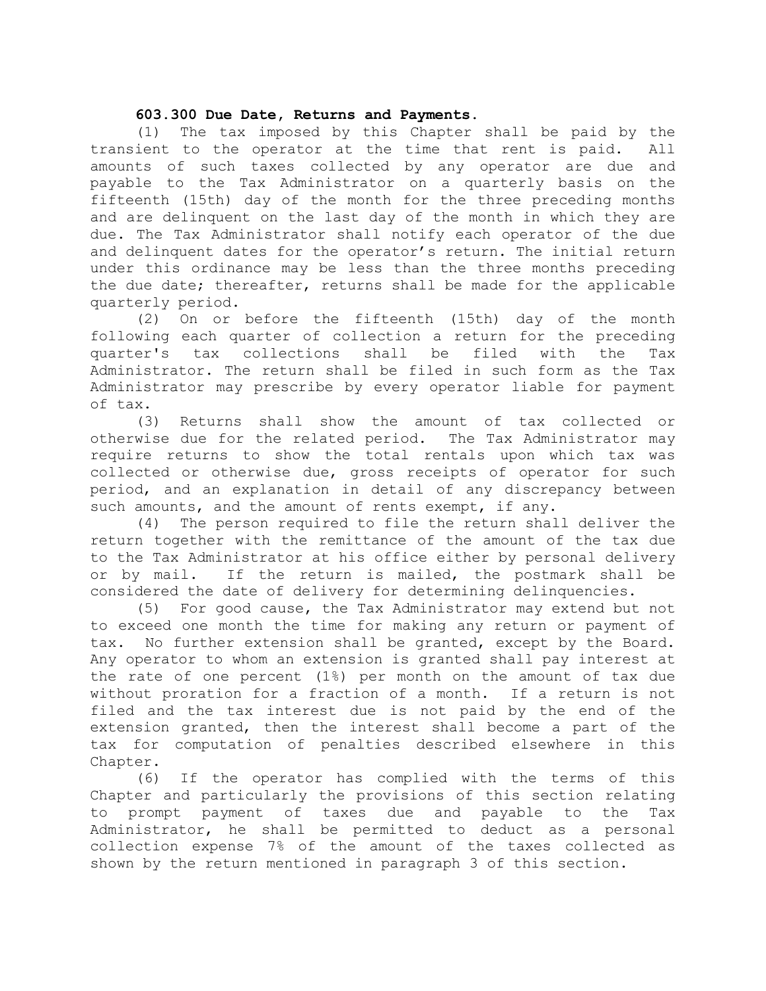#### 603.300 Due Date, Returns and Payments.

 (1) The tax imposed by this Chapter shall be paid by the transient to the operator at the time that rent is paid. All amounts of such taxes collected by any operator are due and payable to the Tax Administrator on a quarterly basis on the fifteenth (15th) day of the month for the three preceding months and are delinquent on the last day of the month in which they are due. The Tax Administrator shall notify each operator of the due and delinquent dates for the operator's return. The initial return under this ordinance may be less than the three months preceding the due date; thereafter, returns shall be made for the applicable quarterly period.

 (2) On or before the fifteenth (15th) day of the month following each quarter of collection a return for the preceding quarter's tax collections shall be filed with the Tax Administrator. The return shall be filed in such form as the Tax Administrator may prescribe by every operator liable for payment of tax.

 (3) Returns shall show the amount of tax collected or otherwise due for the related period. The Tax Administrator may require returns to show the total rentals upon which tax was collected or otherwise due, gross receipts of operator for such period, and an explanation in detail of any discrepancy between such amounts, and the amount of rents exempt, if any.

 (4) The person required to file the return shall deliver the return together with the remittance of the amount of the tax due to the Tax Administrator at his office either by personal delivery or by mail. If the return is mailed, the postmark shall be considered the date of delivery for determining delinquencies.

 (5) For good cause, the Tax Administrator may extend but not to exceed one month the time for making any return or payment of tax. No further extension shall be granted, except by the Board. Any operator to whom an extension is granted shall pay interest at the rate of one percent (1%) per month on the amount of tax due without proration for a fraction of a month. If a return is not filed and the tax interest due is not paid by the end of the extension granted, then the interest shall become a part of the tax for computation of penalties described elsewhere in this Chapter.

 (6) If the operator has complied with the terms of this Chapter and particularly the provisions of this section relating to prompt payment of taxes due and payable to the Tax Administrator, he shall be permitted to deduct as a personal collection expense 7% of the amount of the taxes collected as shown by the return mentioned in paragraph 3 of this section.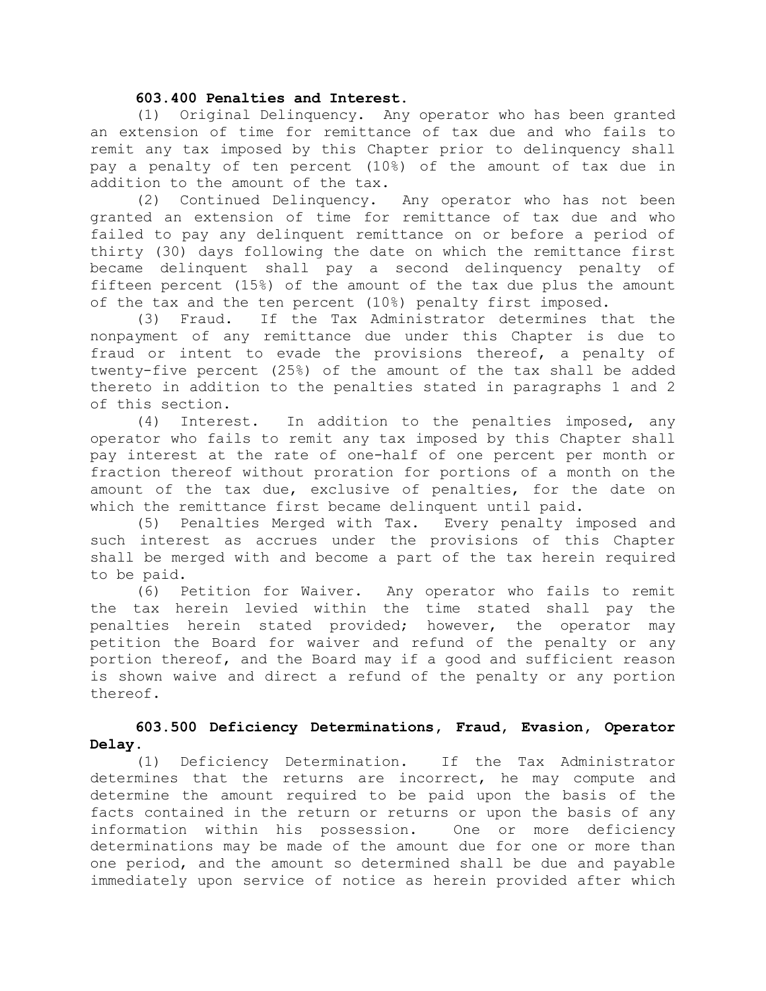#### 603.400 Penalties and Interest.

 (1) Original Delinquency. Any operator who has been granted an extension of time for remittance of tax due and who fails to remit any tax imposed by this Chapter prior to delinquency shall pay a penalty of ten percent (10%) of the amount of tax due in addition to the amount of the tax.<br>(2) Continued Delinquency.

Any operator who has not been granted an extension of time for remittance of tax due and who failed to pay any delinquent remittance on or before a period of thirty (30) days following the date on which the remittance first became delinquent shall pay a second delinquency penalty of fifteen percent (15%) of the amount of the tax due plus the amount of the tax and the ten percent (10%) penalty first imposed.

 (3) Fraud. If the Tax Administrator determines that the nonpayment of any remittance due under this Chapter is due to fraud or intent to evade the provisions thereof, a penalty of twenty-five percent (25%) of the amount of the tax shall be added thereto in addition to the penalties stated in paragraphs 1 and 2 of this section.

 (4) Interest. In addition to the penalties imposed, any operator who fails to remit any tax imposed by this Chapter shall pay interest at the rate of one-half of one percent per month or fraction thereof without proration for portions of a month on the amount of the tax due, exclusive of penalties, for the date on which the remittance first became delinquent until paid.

 (5) Penalties Merged with Tax. Every penalty imposed and such interest as accrues under the provisions of this Chapter shall be merged with and become a part of the tax herein required to be paid.

 (6) Petition for Waiver. Any operator who fails to remit the tax herein levied within the time stated shall pay the penalties herein stated provided; however, the operator may petition the Board for waiver and refund of the penalty or any portion thereof, and the Board may if a good and sufficient reason is shown waive and direct a refund of the penalty or any portion thereof.

#### 603.500 Deficiency Determinations, Fraud, Evasion, Operator Delay.

 (1) Deficiency Determination. If the Tax Administrator determines that the returns are incorrect, he may compute and determine the amount required to be paid upon the basis of the facts contained in the return or returns or upon the basis of any information within his possession. One or more deficiency determinations may be made of the amount due for one or more than one period, and the amount so determined shall be due and payable immediately upon service of notice as herein provided after which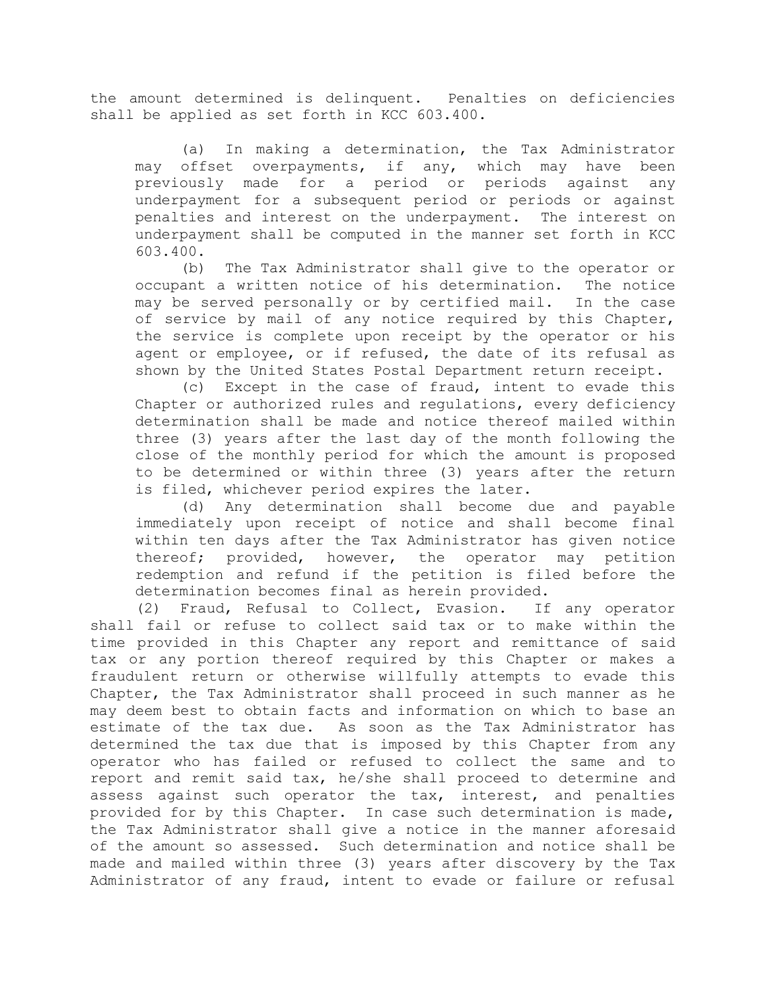the amount determined is delinquent. Penalties on deficiencies shall be applied as set forth in KCC 603.400.

 (a) In making a determination, the Tax Administrator may offset overpayments, if any, which may have been previously made for a period or periods against any underpayment for a subsequent period or periods or against penalties and interest on the underpayment. The interest on underpayment shall be computed in the manner set forth in KCC 603.400.

 (b) The Tax Administrator shall give to the operator or occupant a written notice of his determination. The notice may be served personally or by certified mail. In the case of service by mail of any notice required by this Chapter, the service is complete upon receipt by the operator or his agent or employee, or if refused, the date of its refusal as shown by the United States Postal Department return receipt.

 (c) Except in the case of fraud, intent to evade this Chapter or authorized rules and regulations, every deficiency determination shall be made and notice thereof mailed within three (3) years after the last day of the month following the close of the monthly period for which the amount is proposed to be determined or within three (3) years after the return is filed, whichever period expires the later.

 (d) Any determination shall become due and payable immediately upon receipt of notice and shall become final within ten days after the Tax Administrator has given notice thereof; provided, however, the operator may petition redemption and refund if the petition is filed before the determination becomes final as herein provided.

 (2) Fraud, Refusal to Collect, Evasion. If any operator shall fail or refuse to collect said tax or to make within the time provided in this Chapter any report and remittance of said tax or any portion thereof required by this Chapter or makes a fraudulent return or otherwise willfully attempts to evade this Chapter, the Tax Administrator shall proceed in such manner as he may deem best to obtain facts and information on which to base an estimate of the tax due. As soon as the Tax Administrator has determined the tax due that is imposed by this Chapter from any operator who has failed or refused to collect the same and to report and remit said tax, he/she shall proceed to determine and assess against such operator the tax, interest, and penalties provided for by this Chapter. In case such determination is made, the Tax Administrator shall give a notice in the manner aforesaid of the amount so assessed. Such determination and notice shall be made and mailed within three (3) years after discovery by the Tax Administrator of any fraud, intent to evade or failure or refusal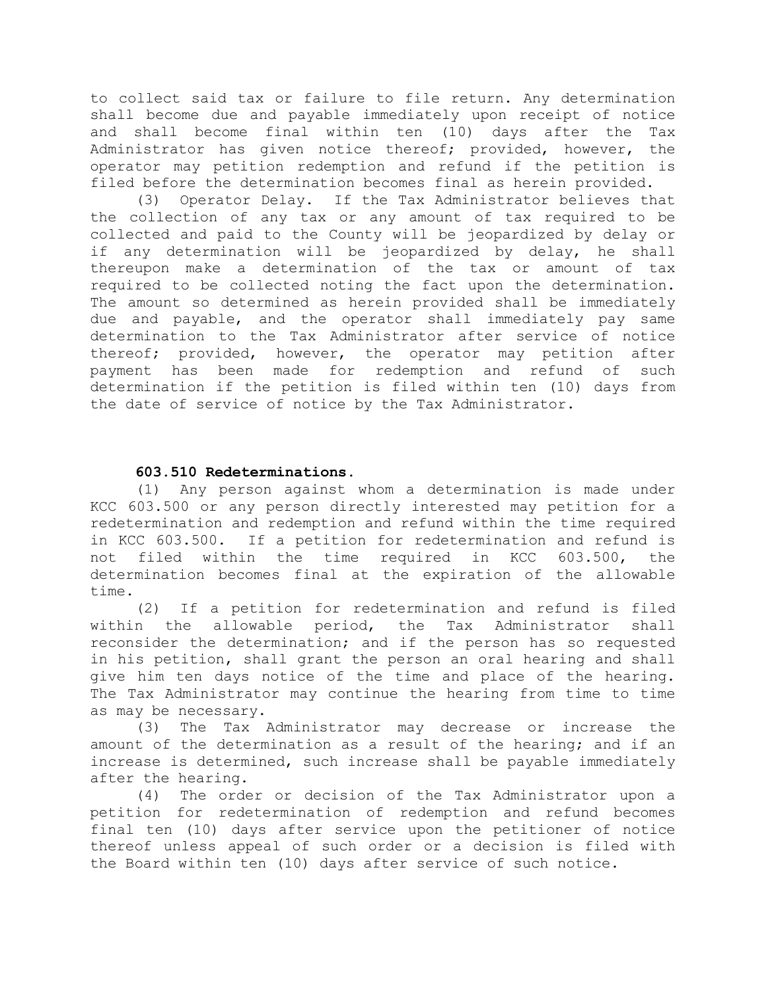to collect said tax or failure to file return. Any determination shall become due and payable immediately upon receipt of notice and shall become final within ten (10) days after the Tax Administrator has given notice thereof; provided, however, the operator may petition redemption and refund if the petition is filed before the determination becomes final as herein provided.

 (3) Operator Delay. If the Tax Administrator believes that the collection of any tax or any amount of tax required to be collected and paid to the County will be jeopardized by delay or if any determination will be jeopardized by delay, he shall thereupon make a determination of the tax or amount of tax required to be collected noting the fact upon the determination. The amount so determined as herein provided shall be immediately due and payable, and the operator shall immediately pay same determination to the Tax Administrator after service of notice thereof; provided, however, the operator may petition after payment has been made for redemption and refund of such determination if the petition is filed within ten (10) days from the date of service of notice by the Tax Administrator.

## 603.510 Redeterminations.

 (1) Any person against whom a determination is made under KCC 603.500 or any person directly interested may petition for a redetermination and redemption and refund within the time required in KCC 603.500. If a petition for redetermination and refund is not filed within the time required in KCC 603.500, the determination becomes final at the expiration of the allowable time.

 (2) If a petition for redetermination and refund is filed within the allowable period, the Tax Administrator shall reconsider the determination; and if the person has so requested in his petition, shall grant the person an oral hearing and shall give him ten days notice of the time and place of the hearing. The Tax Administrator may continue the hearing from time to time as may be necessary.

 (3) The Tax Administrator may decrease or increase the amount of the determination as a result of the hearing; and if an increase is determined, such increase shall be payable immediately after the hearing.

 (4) The order or decision of the Tax Administrator upon a petition for redetermination of redemption and refund becomes final ten (10) days after service upon the petitioner of notice thereof unless appeal of such order or a decision is filed with the Board within ten (10) days after service of such notice.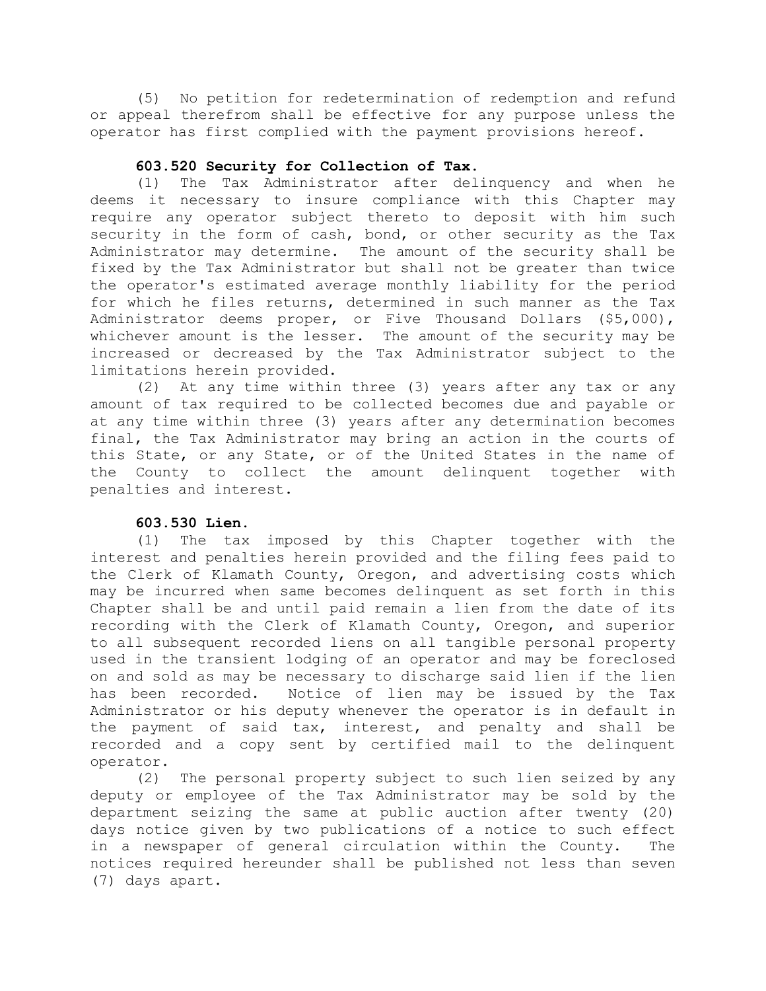(5) No petition for redetermination of redemption and refund or appeal therefrom shall be effective for any purpose unless the operator has first complied with the payment provisions hereof.

## 603.520 Security for Collection of Tax.

 (1) The Tax Administrator after delinquency and when he deems it necessary to insure compliance with this Chapter may require any operator subject thereto to deposit with him such security in the form of cash, bond, or other security as the Tax Administrator may determine. The amount of the security shall be fixed by the Tax Administrator but shall not be greater than twice the operator's estimated average monthly liability for the period for which he files returns, determined in such manner as the Tax Administrator deems proper, or Five Thousand Dollars (\$5,000), whichever amount is the lesser. The amount of the security may be increased or decreased by the Tax Administrator subject to the limitations herein provided.

 (2) At any time within three (3) years after any tax or any amount of tax required to be collected becomes due and payable or at any time within three (3) years after any determination becomes final, the Tax Administrator may bring an action in the courts of this State, or any State, or of the United States in the name of the County to collect the amount delinquent together with penalties and interest.

### 603.530 Lien.

 (1) The tax imposed by this Chapter together with the interest and penalties herein provided and the filing fees paid to the Clerk of Klamath County, Oregon, and advertising costs which may be incurred when same becomes delinquent as set forth in this Chapter shall be and until paid remain a lien from the date of its recording with the Clerk of Klamath County, Oregon, and superior to all subsequent recorded liens on all tangible personal property used in the transient lodging of an operator and may be foreclosed on and sold as may be necessary to discharge said lien if the lien has been recorded. Notice of lien may be issued by the Tax Administrator or his deputy whenever the operator is in default in the payment of said tax, interest, and penalty and shall be recorded and a copy sent by certified mail to the delinquent operator.

 (2) The personal property subject to such lien seized by any deputy or employee of the Tax Administrator may be sold by the department seizing the same at public auction after twenty (20) days notice given by two publications of a notice to such effect in a newspaper of general circulation within the County. The notices required hereunder shall be published not less than seven (7) days apart.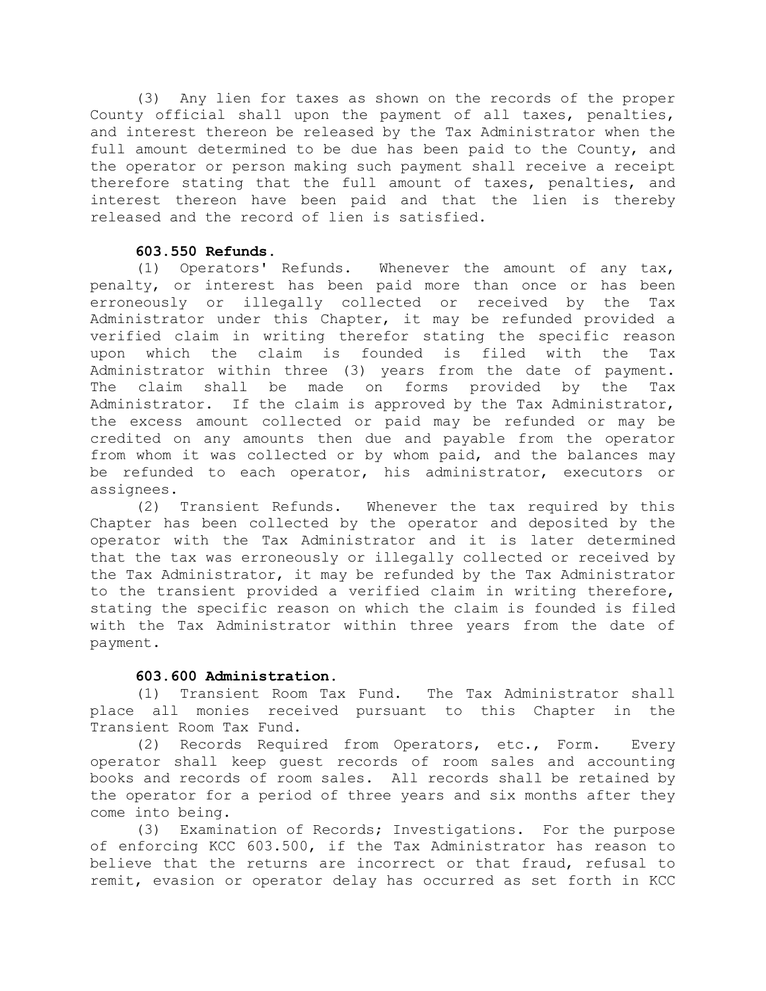(3) Any lien for taxes as shown on the records of the proper County official shall upon the payment of all taxes, penalties, and interest thereon be released by the Tax Administrator when the full amount determined to be due has been paid to the County, and the operator or person making such payment shall receive a receipt therefore stating that the full amount of taxes, penalties, and interest thereon have been paid and that the lien is thereby released and the record of lien is satisfied.

## 603.550 Refunds.

 (1) Operators' Refunds. Whenever the amount of any tax, penalty, or interest has been paid more than once or has been erroneously or illegally collected or received by the Tax Administrator under this Chapter, it may be refunded provided a verified claim in writing therefor stating the specific reason upon which the claim is founded is filed with the Tax Administrator within three (3) years from the date of payment. The claim shall be made on forms provided by the Tax Administrator. If the claim is approved by the Tax Administrator, the excess amount collected or paid may be refunded or may be credited on any amounts then due and payable from the operator from whom it was collected or by whom paid, and the balances may be refunded to each operator, his administrator, executors or assignees.

 (2) Transient Refunds. Whenever the tax required by this Chapter has been collected by the operator and deposited by the operator with the Tax Administrator and it is later determined that the tax was erroneously or illegally collected or received by the Tax Administrator, it may be refunded by the Tax Administrator to the transient provided a verified claim in writing therefore, stating the specific reason on which the claim is founded is filed with the Tax Administrator within three years from the date of payment.

### 603.600 Administration.

 (1) Transient Room Tax Fund. The Tax Administrator shall place all monies received pursuant to this Chapter in the Transient Room Tax Fund.

 (2) Records Required from Operators, etc., Form. Every operator shall keep guest records of room sales and accounting books and records of room sales. All records shall be retained by the operator for a period of three years and six months after they come into being.

 (3) Examination of Records; Investigations. For the purpose of enforcing KCC 603.500, if the Tax Administrator has reason to believe that the returns are incorrect or that fraud, refusal to remit, evasion or operator delay has occurred as set forth in KCC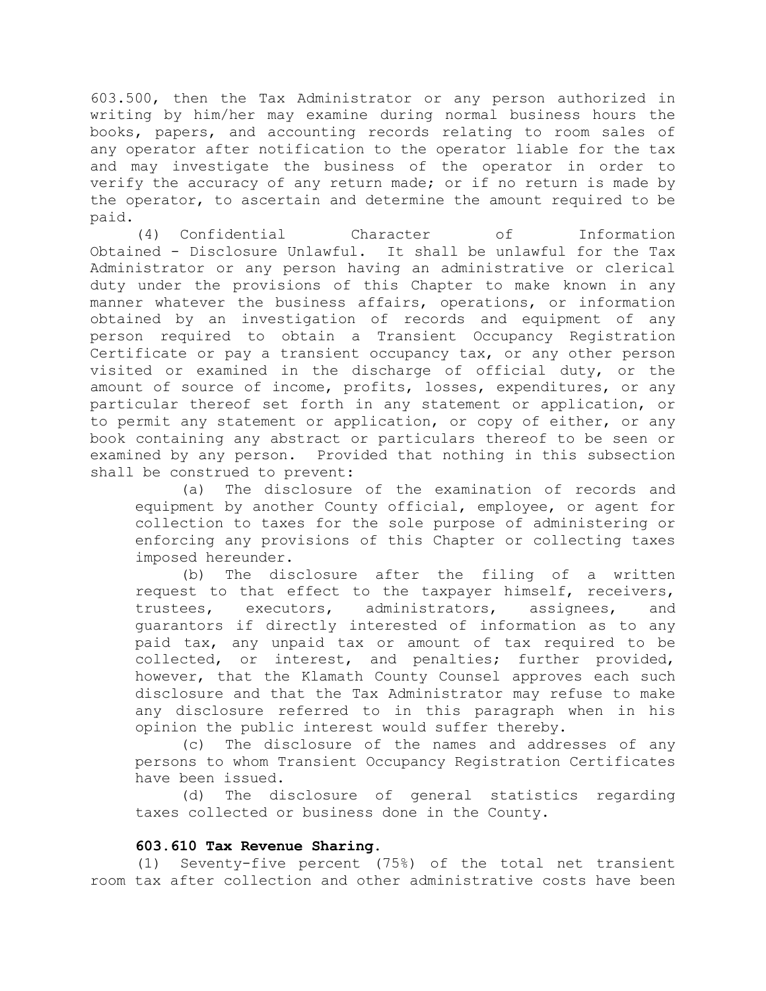603.500, then the Tax Administrator or any person authorized in writing by him/her may examine during normal business hours the books, papers, and accounting records relating to room sales of any operator after notification to the operator liable for the tax and may investigate the business of the operator in order to verify the accuracy of any return made; or if no return is made by the operator, to ascertain and determine the amount required to be paid.

 (4) Confidential Character of Information Obtained - Disclosure Unlawful. It shall be unlawful for the Tax Administrator or any person having an administrative or clerical duty under the provisions of this Chapter to make known in any manner whatever the business affairs, operations, or information obtained by an investigation of records and equipment of any person required to obtain a Transient Occupancy Registration Certificate or pay a transient occupancy tax, or any other person visited or examined in the discharge of official duty, or the amount of source of income, profits, losses, expenditures, or any particular thereof set forth in any statement or application, or to permit any statement or application, or copy of either, or any book containing any abstract or particulars thereof to be seen or examined by any person. Provided that nothing in this subsection shall be construed to prevent:

 (a) The disclosure of the examination of records and equipment by another County official, employee, or agent for collection to taxes for the sole purpose of administering or enforcing any provisions of this Chapter or collecting taxes imposed hereunder.

 (b) The disclosure after the filing of a written request to that effect to the taxpayer himself, receivers, trustees, executors, administrators, assignees, and guarantors if directly interested of information as to any paid tax, any unpaid tax or amount of tax required to be collected, or interest, and penalties; further provided, however, that the Klamath County Counsel approves each such disclosure and that the Tax Administrator may refuse to make any disclosure referred to in this paragraph when in his opinion the public interest would suffer thereby.

 (c) The disclosure of the names and addresses of any persons to whom Transient Occupancy Registration Certificates have been issued.

 (d) The disclosure of general statistics regarding taxes collected or business done in the County.

#### 603.610 Tax Revenue Sharing.

(1) Seventy-five percent (75%) of the total net transient room tax after collection and other administrative costs have been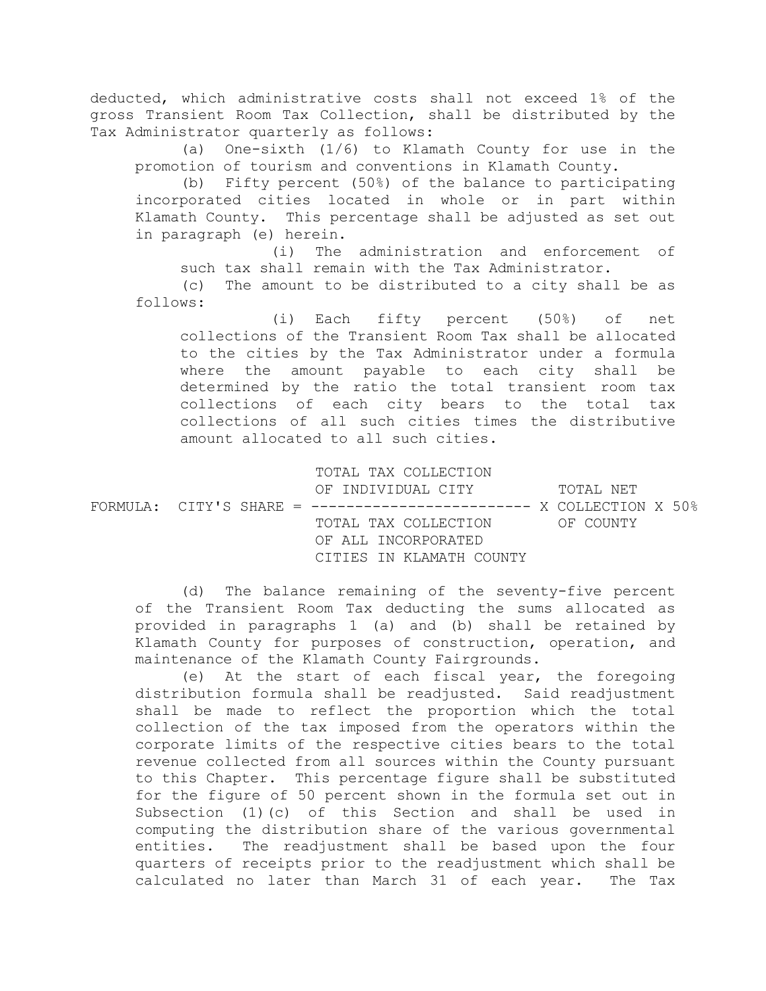deducted, which administrative costs shall not exceed 1% of the gross Transient Room Tax Collection, shall be distributed by the Tax Administrator quarterly as follows:

 (a) One-sixth (1/6) to Klamath County for use in the promotion of tourism and conventions in Klamath County.

 (b) Fifty percent (50%) of the balance to participating incorporated cities located in whole or in part within Klamath County. This percentage shall be adjusted as set out in paragraph (e) herein.

 (i) The administration and enforcement of such tax shall remain with the Tax Administrator.

 (c) The amount to be distributed to a city shall be as follows:

 (i) Each fifty percent (50%) of net collections of the Transient Room Tax shall be allocated to the cities by the Tax Administrator under a formula where the amount payable to each city shall be determined by the ratio the total transient room tax collections of each city bears to the total tax collections of all such cities times the distributive amount allocated to all such cities.

TOTAL TAX COLLECTION

OF INDIVIDUAL CITY TOTAL NET  $FORMULA:$  CITY'S SHARE = -------------------------- X COLLECTION X 50% TOTAL TAX COLLECTION OF COUNTY OF ALL INCORPORATED CITIES IN KLAMATH COUNTY

 (d) The balance remaining of the seventy-five percent of the Transient Room Tax deducting the sums allocated as provided in paragraphs 1 (a) and (b) shall be retained by Klamath County for purposes of construction, operation, and maintenance of the Klamath County Fairgrounds.

 (e) At the start of each fiscal year, the foregoing distribution formula shall be readjusted. Said readjustment shall be made to reflect the proportion which the total collection of the tax imposed from the operators within the corporate limits of the respective cities bears to the total revenue collected from all sources within the County pursuant to this Chapter. This percentage figure shall be substituted for the figure of 50 percent shown in the formula set out in Subsection (1)(c) of this Section and shall be used in computing the distribution share of the various governmental entities. The readjustment shall be based upon the four quarters of receipts prior to the readjustment which shall be calculated no later than March 31 of each year. The Tax